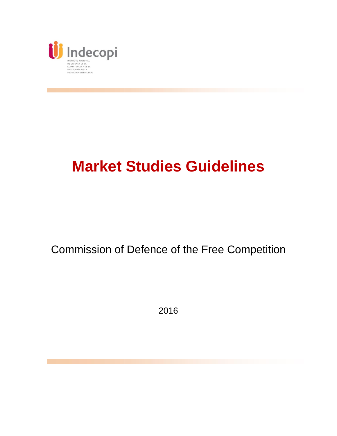

# **Market Studies Guidelines**

# Commission of Defence of the Free Competition

2016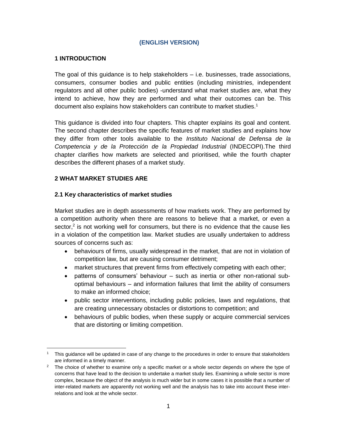#### **(ENGLISH VERSION)**

#### **1 INTRODUCTION**

The goal of this guidance is to help stakeholders  $-$  i.e. businesses, trade associations, consumers, consumer bodies and public entities (including ministries, independent regulators and all other public bodies) -understand what market studies are, what they intend to achieve, how they are performed and what their outcomes can be. This document also explains how stakeholders can contribute to market studies.<sup>1</sup>

This guidance is divided into four chapters. This chapter explains its goal and content. The second chapter describes the specific features of market studies and explains how they differ from other tools available to the *Instituto Nacional de Defensa de la Competencia y de la Protección de la Propiedad Industrial* (INDECOPI).The third chapter clarifies how markets are selected and prioritised, while the fourth chapter describes the different phases of a market study.

#### **2 WHAT MARKET STUDIES ARE**

#### **2.1 Key characteristics of market studies**

Market studies are in depth assessments of how markets work. They are performed by a competition authority when there are reasons to believe that a market, or even a sector, $2$  is not working well for consumers, but there is no evidence that the cause lies in a violation of the competition law. Market studies are usually undertaken to address sources of concerns such as:

- behaviours of firms, usually widespread in the market, that are not in violation of competition law, but are causing consumer detriment;
- market structures that prevent firms from effectively competing with each other;
- patterns of consumers' behaviour such as inertia or other non-rational suboptimal behaviours – and information failures that limit the ability of consumers to make an informed choice;
- public sector interventions, including public policies, laws and regulations, that are creating unnecessary obstacles or distortions to competition; and
- behaviours of public bodies, when these supply or acquire commercial services that are distorting or limiting competition.

 $\ddot{\phantom{a}}$ <sup>1</sup> This guidance will be updated in case of any change to the procedures in order to ensure that stakeholders are informed in a timely manner.

 $2<sup>2</sup>$  The choice of whether to examine only a specific market or a whole sector depends on where the type of concerns that have lead to the decision to undertake a market study lies. Examining a whole sector is more complex, because the object of the analysis is much wider but in some cases it is possible that a number of inter-related markets are apparently not working well and the analysis has to take into account these interrelations and look at the whole sector.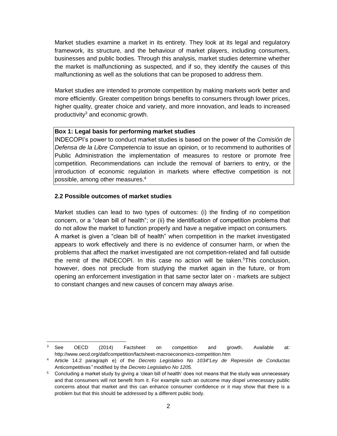Market studies examine a market in its entirety. They look at its legal and regulatory framework, its structure, and the behaviour of market players, including consumers, businesses and public bodies. Through this analysis, market studies determine whether the market is malfunctioning as suspected, and if so, they identify the causes of this malfunctioning as well as the solutions that can be proposed to address them.

Market studies are intended to promote competition by making markets work better and more efficiently. Greater competition brings benefits to consumers through lower prices, higher quality, greater choice and variety, and more innovation, and leads to increased productivity<sup>3</sup> and economic growth.

#### **Box 1: Legal basis for performing market studies**

INDECOPI's power to conduct market studies is based on the power of the *Comisión de Defensa de la Libre Competencia* to issue an opinion, or to recommend to authorities of Public Administration the implementation of measures to restore or promote free competition. Recommendations can include the removal of barriers to entry, or the introduction of economic regulation in markets where effective competition is not possible, among other measures.<sup>4</sup>

#### **2.2 Possible outcomes of market studies**

Market studies can lead to two types of outcomes: (i) the finding of no competition concern, or a "clean bill of health"; or (ii) the identification of competition problems that do not allow the market to function properly and have a negative impact on consumers. A market is given a "clean bill of health" when competition in the market investigated appears to work effectively and there is no evidence of consumer harm, or when the problems that affect the market investigated are not competition-related and fall outside the remit of the INDECOPI. In this case no action will be taken.<sup>5</sup>This conclusion, however, does not preclude from studying the market again in the future, or from opening an enforcement investigation in that same sector later on - markets are subject to constant changes and new causes of concern may always arise.

 $\overline{a}$  $3$  See OECD (2014) Factsheet on competition and growth. Available at: http://www.oecd.org/daf/competition/factsheet-macroeconomics-competition.htm

<sup>4</sup> Article 14.2 paragraph e) of the *Decreto Legislativo No 1034*"*Ley de Represión de Conductas*  Anticompetitivas*"* modified by the *Decreto Legislativo No 1205.*

<sup>5</sup> Concluding a market study by giving a 'clean bill of health' does not means that the study was unnecessary and that consumers will not benefit from it. For example such an outcome may dispel unnecessary public concerns about that market and this can enhance consumer confidence or it may show that there is a problem but that this should be addressed by a different public body.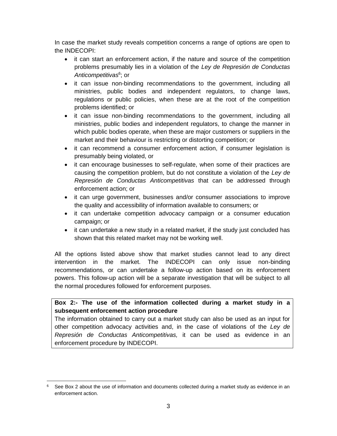In case the market study reveals competition concerns a range of options are open to the INDECOPI:

- it can start an enforcement action, if the nature and source of the competition problems presumably lies in a violation of the *Ley de Represión de Conductas Anticompetitivas*<sup>6</sup> ; or
- it can issue non-binding recommendations to the government, including all ministries, public bodies and independent regulators, to change laws, regulations or public policies, when these are at the root of the competition problems identified; or
- it can issue non-binding recommendations to the government, including all ministries, public bodies and independent regulators, to change the manner in which public bodies operate, when these are major customers or suppliers in the market and their behaviour is restricting or distorting competition; or
- it can recommend a consumer enforcement action, if consumer legislation is presumably being violated, or
- it can encourage businesses to self-regulate, when some of their practices are causing the competition problem, but do not constitute a violation of the *Ley de Represión de Conductas Anticompetitivas* that can be addressed through enforcement action; or
- it can urge government, businesses and/or consumer associations to improve the quality and accessibility of information available to consumers; or
- it can undertake competition advocacy campaign or a consumer education campaign; or
- it can undertake a new study in a related market, if the study just concluded has shown that this related market may not be working well.

All the options listed above show that market studies cannot lead to any direct intervention in the market. The INDECOPI can only issue non-binding recommendations, or can undertake a follow-up action based on its enforcement powers. This follow-up action will be a separate investigation that will be subject to all the normal procedures followed for enforcement purposes.

### **Box 2:- The use of the information collected during a market study in a subsequent enforcement action procedure**

The information obtained to carry out a market study can also be used as an input for other competition advocacy activities and, in the case of violations of the *Ley de Represión de Conductas Anticompetitivas,* it can be used as evidence in an enforcement procedure by INDECOPI.

 $\overline{a}$  $6$  See Box 2 about the use of information and documents collected during a market study as evidence in an enforcement action.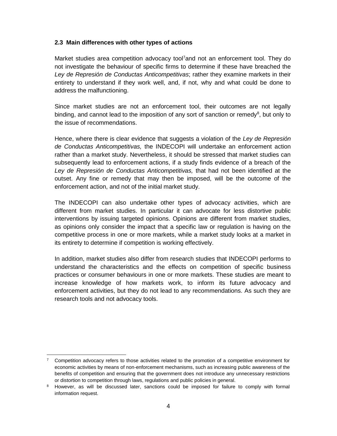#### **2.3 Main differences with other types of actions**

Market studies area competition advocacy tool<sup>7</sup>and not an enforcement tool. They do not investigate the behaviour of specific firms to determine if these have breached the *Ley de Represión de Conductas Anticompetitivas*; rather they examine markets in their entirety to understand if they work well, and, if not, why and what could be done to address the malfunctioning.

Since market studies are not an enforcement tool, their outcomes are not legally binding, and cannot lead to the imposition of any sort of sanction or remedy<sup>8</sup>, but only to the issue of recommendations.

Hence, where there is clear evidence that suggests a violation of the *Ley de Represión de Conductas Anticompetitivas,* the INDECOPI will undertake an enforcement action rather than a market study. Nevertheless, it should be stressed that market studies can subsequently lead to enforcement actions, if a study finds evidence of a breach of the *Ley de Represión de Conductas Anticompetitivas,* that had not been identified at the outset. Any fine or remedy that may then be imposed, will be the outcome of the enforcement action, and not of the initial market study.

The INDECOPI can also undertake other types of advocacy activities, which are different from market studies. In particular it can advocate for less distortive public interventions by issuing targeted opinions. Opinions are different from market studies, as opinions only consider the impact that a specific law or regulation is having on the competitive process in one or more markets, while a market study looks at a market in its entirety to determine if competition is working effectively.

In addition, market studies also differ from research studies that INDECOPI performs to understand the characteristics and the effects on competition of specific business practices or consumer behaviours in one or more markets. These studies are meant to increase knowledge of how markets work, to inform its future advocacy and enforcement activities, but they do not lead to any recommendations. As such they are research tools and not advocacy tools.

 $\overline{a}$ 

<sup>&</sup>lt;sup>7</sup> Competition advocacy refers to those activities related to the promotion of a competitive environment for economic activities by means of non-enforcement mechanisms, such as increasing public awareness of the benefits of competition and ensuring that the government does not introduce any unnecessary restrictions or distortion to competition through laws, regulations and public policies in general.

<sup>&</sup>lt;sup>8</sup> However, as will be discussed later, sanctions could be imposed for failure to comply with formal information request.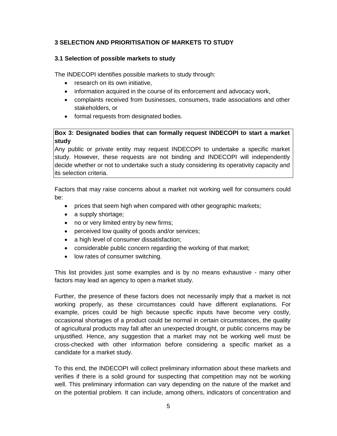## **3 SELECTION AND PRIORITISATION OF MARKETS TO STUDY**

#### **3.1 Selection of possible markets to study**

The INDECOPI identifies possible markets to study through:

- research on its own initiative.
- information acquired in the course of its enforcement and advocacy work,
- complaints received from businesses, consumers, trade associations and other stakeholders, or
- formal requests from designated bodies.

#### **Box 3: Designated bodies that can formally request INDECOPI to start a market study**

Any public or private entity may request INDECOPI to undertake a specific market study. However, these requests are not binding and INDECOPI will independently decide whether or not to undertake such a study considering its operativity capacity and its selection criteria.

Factors that may raise concerns about a market not working well for consumers could be:

- prices that seem high when compared with other geographic markets;
- a supply shortage;
- no or very limited entry by new firms;
- perceived low quality of goods and/or services;
- a high level of consumer dissatisfaction;
- considerable public concern regarding the working of that market;
- low rates of consumer switching.

This list provides just some examples and is by no means exhaustive - many other factors may lead an agency to open a market study.

Further, the presence of these factors does not necessarily imply that a market is not working properly, as these circumstances could have different explanations. For example, prices could be high because specific inputs have become very costly, occasional shortages of a product could be normal in certain circumstances, the quality of agricultural products may fall after an unexpected drought, or public concerns may be unjustified. Hence, any suggestion that a market may not be working well must be cross-checked with other information before considering a specific market as a candidate for a market study.

To this end, the INDECOPI will collect preliminary information about these markets and verifies if there is a solid ground for suspecting that competition may not be working well. This preliminary information can vary depending on the nature of the market and on the potential problem. It can include, among others, indicators of concentration and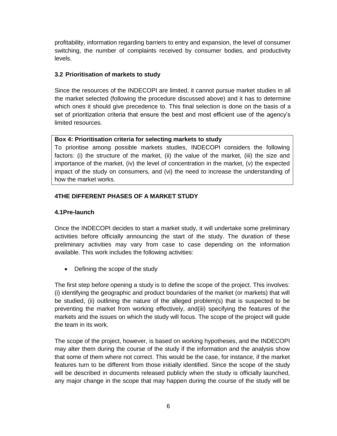profitability, information regarding barriers to entry and expansion, the level of consumer switching, the number of complaints received by consumer bodies, and productivity levels.

#### **3.2 Prioritisation of markets to study**

Since the resources of the INDECOPI are limited, it cannot pursue market studies in all the market selected (following the procedure discussed above) and it has to determine which ones it should give precedence to. This final selection is done on the basis of a set of prioritization criteria that ensure the best and most efficient use of the agency's limited resources.

#### **Box 4: Prioritisation criteria for selecting markets to study**

To prioritise among possible markets studies, INDECOPI considers the following factors: (i) the structure of the market, (ii) the value of the market, (iii) the size and importance of the market, (iv) the level of concentration in the market, (v) the expected impact of the study on consumers, and (vi) the need to increase the understanding of how the market works.

#### **4THE DIFFERENT PHASES OF A MARKET STUDY**

#### **4.1Pre-launch**

Once the INDECOPI decides to start a market study, it will undertake some preliminary activities before officially announcing the start of the study. The duration of these preliminary activities may vary from case to case depending on the information available. This work includes the following activities:

• Defining the scope of the study

The first step before opening a study is to define the scope of the project. This involves: (i) identifying the geographic and product boundaries of the market (or markets) that will be studied, (ii) outlining the nature of the alleged problem(s) that is suspected to be preventing the market from working effectively, and(iii) specifying the features of the markets and the issues on which the study will focus. The scope of the project will guide the team in its work.

The scope of the project, however, is based on working hypotheses, and the INDECOPI may alter them during the course of the study if the information and the analysis show that some of them where not correct. This would be the case, for instance, if the market features turn to be different from those initially identified. Since the scope of the study will be described in documents released publicly when the study is officially launched, any major change in the scope that may happen during the course of the study will be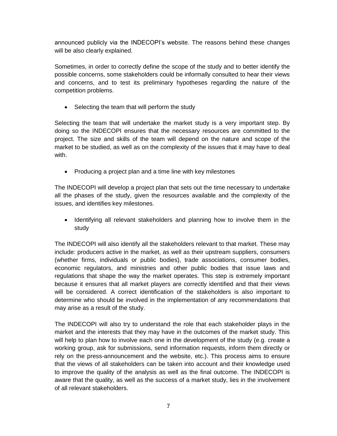announced publicly via the INDECOPI's website. The reasons behind these changes will be also clearly explained.

Sometimes, in order to correctly define the scope of the study and to better identify the possible concerns, some stakeholders could be informally consulted to hear their views and concerns, and to test its preliminary hypotheses regarding the nature of the competition problems.

• Selecting the team that will perform the study

Selecting the team that will undertake the market study is a very important step. By doing so the INDECOPI ensures that the necessary resources are committed to the project. The size and skills of the team will depend on the nature and scope of the market to be studied, as well as on the complexity of the issues that it may have to deal with.

• Producing a project plan and a time line with key milestones

The INDECOPI will develop a project plan that sets out the time necessary to undertake all the phases of the study, given the resources available and the complexity of the issues, and identifies key milestones.

• Identifying all relevant stakeholders and planning how to involve them in the study

The INDECOPI will also identify all the stakeholders relevant to that market. These may include: producers active in the market, as well as their upstream suppliers, consumers (whether firms, individuals or public bodies), trade associations, consumer bodies, economic regulators, and ministries and other public bodies that issue laws and regulations that shape the way the market operates. This step is extremely important because it ensures that all market players are correctly identified and that their views will be considered. A correct identification of the stakeholders is also important to determine who should be involved in the implementation of any recommendations that may arise as a result of the study.

The INDECOPI will also try to understand the role that each stakeholder plays in the market and the interests that they may have in the outcomes of the market study. This will help to plan how to involve each one in the development of the study (e.g. create a working group, ask for submissions, send information requests, inform them directly or rely on the press-announcement and the website, etc.). This process aims to ensure that the views of all stakeholders can be taken into account and their knowledge used to improve the quality of the analysis as well as the final outcome. The INDECOPI is aware that the quality, as well as the success of a market study, lies in the involvement of all relevant stakeholders.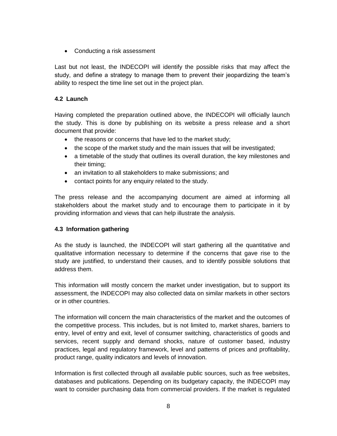Conducting a risk assessment

Last but not least, the INDECOPI will identify the possible risks that may affect the study, and define a strategy to manage them to prevent their jeopardizing the team's ability to respect the time line set out in the project plan.

#### **4.2 Launch**

Having completed the preparation outlined above, the INDECOPI will officially launch the study. This is done by publishing on its website a press release and a short document that provide:

- the reasons or concerns that have led to the market study;
- the scope of the market study and the main issues that will be investigated;
- a timetable of the study that outlines its overall duration, the key milestones and their timing;
- an invitation to all stakeholders to make submissions; and
- contact points for any enquiry related to the study.

The press release and the accompanying document are aimed at informing all stakeholders about the market study and to encourage them to participate in it by providing information and views that can help illustrate the analysis.

#### **4.3 Information gathering**

As the study is launched, the INDECOPI will start gathering all the quantitative and qualitative information necessary to determine if the concerns that gave rise to the study are justified, to understand their causes, and to identify possible solutions that address them.

This information will mostly concern the market under investigation, but to support its assessment, the INDECOPI may also collected data on similar markets in other sectors or in other countries.

The information will concern the main characteristics of the market and the outcomes of the competitive process. This includes, but is not limited to, market shares, barriers to entry, level of entry and exit, level of consumer switching, characteristics of goods and services, recent supply and demand shocks, nature of customer based, industry practices, legal and regulatory framework, level and patterns of prices and profitability, product range, quality indicators and levels of innovation.

Information is first collected through all available public sources, such as free websites, databases and publications. Depending on its budgetary capacity, the INDECOPI may want to consider purchasing data from commercial providers. If the market is regulated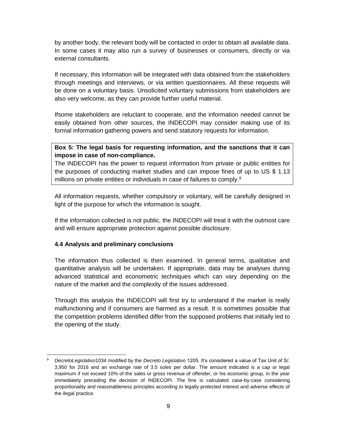by another body, the relevant body will be contacted in order to obtain all available data. In some cases it may also run a survey of businesses or consumers, directly or via external consultants.

If necessary, this information will be integrated with data obtained from the stakeholders through meetings and interviews, or via written questionnaires. All these requests will be done on a voluntary basis. Unsolicited voluntary submissions from stakeholders are also very welcome, as they can provide further useful material.

Ifsome stakeholders are reluctant to cooperate, and the information needed cannot be easily obtained from other sources, the INDECOPI may consider making use of its formal information gathering powers and send statutory requests for information.

#### **Box 5: The legal basis for requesting information, and the sanctions that it can impose in case of non-compliance.**

The INDECOPI has the power to request information from private or public entities for the purposes of conducting market studies and can impose fines of up to US \$ 1.13 millions on private entities or individuals in case of failures to comply.<sup>9</sup>

All information requests, whether compulsory or voluntary, will be carefully designed in light of the purpose for which the information is sought.

If the information collected is not public, the INDECOPI will treat it with the outmost care and will ensure appropriate protection against possible disclosure.

#### **4.4 Analysis and preliminary conclusions**

 $\overline{a}$ 

The information thus collected is then examined. In general terms, qualitative and quantitative analysis will be undertaken. If appropriate, data may be analyses during advanced statistical and econometric techniques which can vary depending on the nature of the market and the complexity of the issues addressed.

Through this analysis the INDECOPI will first try to understand if the market is really malfunctioning and if consumers are harmed as a result. It is sometimes possible that the competition problems identified differ from the supposed problems that initially led to the opening of the study.

<sup>9</sup> *DecretoLegislativo*1034 modified by the *Decreto Legislativo* 1205. It's considered a value of Tax Unit of S/. 3,950 for 2016 and an exchange rate of 3.5 soles per dollar. The amount indicated is a cap or legal maximum if not exceed 10% of the sales or gross revenue of offender, or his economic group, in the year immediately preceding the decision of INDECOPI. The fine is calculated case-by-case considering proportionality and reasonableness principles according to legally protected interest and adverse effects of the ilegal practice.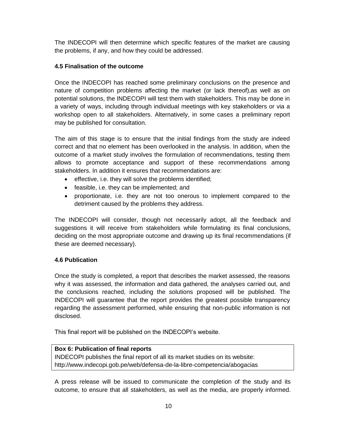The INDECOPI will then determine which specific features of the market are causing the problems, if any, and how they could be addressed.

#### **4.5 Finalisation of the outcome**

Once the INDECOPI has reached some preliminary conclusions on the presence and nature of competition problems affecting the market (or lack thereof),as well as on potential solutions, the INDECOPI will test them with stakeholders. This may be done in a variety of ways, including through individual meetings with key stakeholders or via a workshop open to all stakeholders. Alternatively, in some cases a preliminary report may be published for consultation.

The aim of this stage is to ensure that the initial findings from the study are indeed correct and that no element has been overlooked in the analysis. In addition, when the outcome of a market study involves the formulation of recommendations, testing them allows to promote acceptance and support of these recommendations among stakeholders. In addition it ensures that recommendations are:

- effective, i.e. they will solve the problems identified;
- feasible, i.e. they can be implemented; and
- proportionate, i.e. they are not too onerous to implement compared to the detriment caused by the problems they address.

The INDECOPI will consider, though not necessarily adopt, all the feedback and suggestions it will receive from stakeholders while formulating its final conclusions, deciding on the most appropriate outcome and drawing up its final recommendations (if these are deemed necessary).

#### **4.6 Publication**

Once the study is completed, a report that describes the market assessed, the reasons why it was assessed, the information and data gathered, the analyses carried out, and the conclusions reached, including the solutions proposed will be published. The INDECOPI will guarantee that the report provides the greatest possible transparency regarding the assessment performed, while ensuring that non-public information is not disclosed.

This final report will be published on the INDECOPI's website.

#### **Box 6: Publication of final reports**

INDECOPI publishes the final report of all its market studies on its website: http://www.indecopi.gob.pe/web/defensa-de-la-libre-competencia/abogacias

A press release will be issued to communicate the completion of the study and its outcome, to ensure that all stakeholders, as well as the media, are properly informed.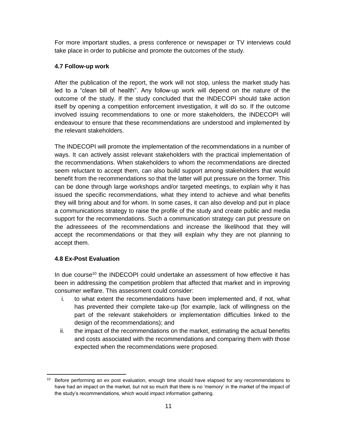For more important studies, a press conference or newspaper or TV interviews could take place in order to publicise and promote the outcomes of the study.

#### **4.7 Follow-up work**

After the publication of the report, the work will not stop, unless the market study has led to a "clean bill of health". Any follow-up work will depend on the nature of the outcome of the study. If the study concluded that the INDECOPI should take action itself by opening a competition enforcement investigation, it will do so. If the outcome involved issuing recommendations to one or more stakeholders, the INDECOPI will endeavour to ensure that these recommendations are understood and implemented by the relevant stakeholders.

The INDECOPI will promote the implementation of the recommendations in a number of ways. It can actively assist relevant stakeholders with the practical implementation of the recommendations. When stakeholders to whom the recommendations are directed seem reluctant to accept them, can also build support among stakeholders that would benefit from the recommendations so that the latter will put pressure on the former. This can be done through large workshops and/or targeted meetings, to explain why it has issued the specific recommendations, what they intend to achieve and what benefits they will bring about and for whom. In some cases, it can also develop and put in place a communications strategy to raise the profile of the study and create public and media support for the recommendations. Such a communication strategy can put pressure on the adresseees of the recommendations and increase the likelihood that they will accept the recommendations or that they will explain why they are not planning to accept them.

#### **4.8 Ex-Post Evaluation**

In due course<sup>10</sup> the INDECOPI could undertake an assessment of how effective it has been in addressing the competition problem that affected that market and in improving consumer welfare. This assessment could consider:

- i. to what extent the recommendations have been implemented and, if not, what has prevented their complete take-up (for example, lack of willingness on the part of the relevant stakeholders or implementation difficulties linked to the design of the recommendations); and
- ii. the impact of the recommendations on the market, estimating the actual benefits and costs associated with the recommendations and comparing them with those expected when the recommendations were proposed.

 $\overline{a}$ <sup>10</sup> Before performing an ex post evaluation, enough time should have elapsed for any recommendations to have had an impact on the market, but not so much that there is no 'memory' in the market of the impact of the study's recommendations, which would impact information gathering.